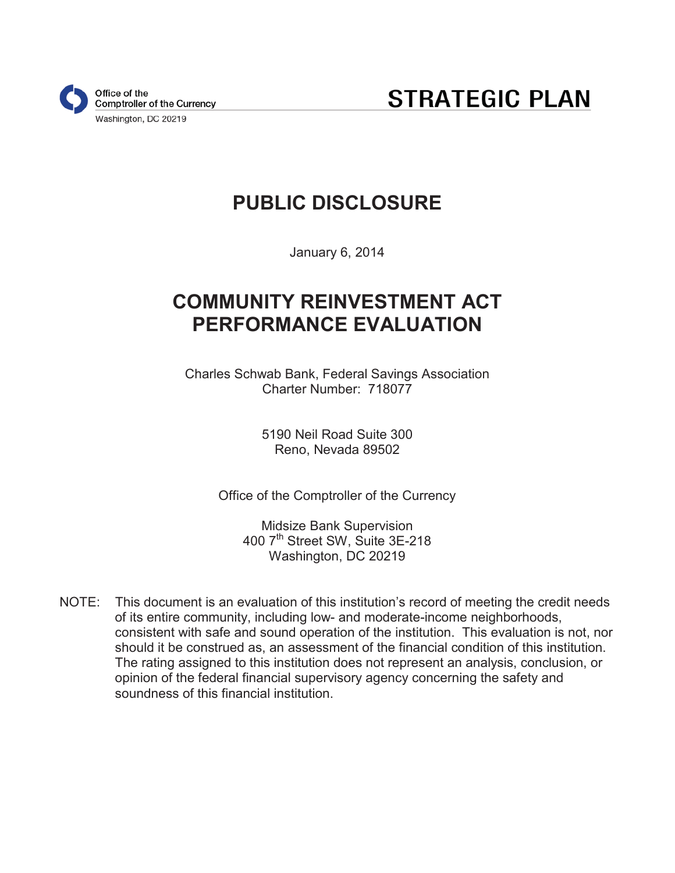

**STRATEGIC PLAN** 

# **PUBLIC DISCLOSURE**

January 6, 2014

## **COMMUNITY REINVESTMENT ACT PERFORMANCE EVALUATION**

Charles Schwab Bank, Federal Savings Association Charter Number: 718077

> 5190 Neil Road Suite 300 Reno, Nevada 89502

Office of the Comptroller of the Currency

Midsize Bank Supervision 400 7th Street SW, Suite 3E-218 Washington, DC 20219

NOTE: This document is an evaluation of this institution's record of meeting the credit needs of its entire community, including low- and moderate-income neighborhoods, consistent with safe and sound operation of the institution. This evaluation is not, nor should it be construed as, an assessment of the financial condition of this institution. The rating assigned to this institution does not represent an analysis, conclusion, or opinion of the federal financial supervisory agency concerning the safety and soundness of this financial institution.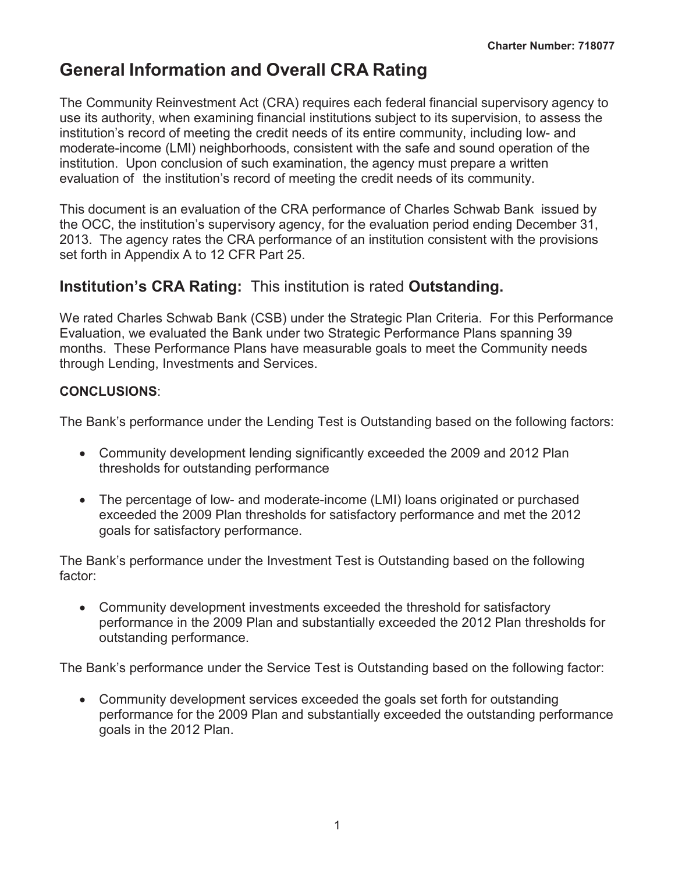## **General Information and Overall CRA Rating**

The Community Reinvestment Act (CRA) requires each federal financial supervisory agency to use its authority, when examining financial institutions subject to its supervision, to assess the institution's record of meeting the credit needs of its entire community, including low- and moderate-income (LMI) neighborhoods, consistent with the safe and sound operation of the institution. Upon conclusion of such examination, the agency must prepare a written evaluation of the institution's record of meeting the credit needs of its community.

This document is an evaluation of the CRA performance of Charles Schwab Bank issued by the OCC, the institution's supervisory agency, for the evaluation period ending December 31, 2013. The agency rates the CRA performance of an institution consistent with the provisions set forth in Appendix A to 12 CFR Part 25.

## **Institution's CRA Rating:** This institution is rated **Outstanding.**

We rated Charles Schwab Bank (CSB) under the Strategic Plan Criteria. For this Performance Evaluation, we evaluated the Bank under two Strategic Performance Plans spanning 39 months. These Performance Plans have measurable goals to meet the Community needs through Lending, Investments and Services.

### **CONCLUSIONS**:

The Bank's performance under the Lending Test is Outstanding based on the following factors:

- Community development lending significantly exceeded the 2009 and 2012 Plan thresholds for outstanding performance
- The percentage of low- and moderate-income (LMI) loans originated or purchased exceeded the 2009 Plan thresholds for satisfactory performance and met the 2012 goals for satisfactory performance.

The Bank's performance under the Investment Test is Outstanding based on the following factor:

• Community development investments exceeded the threshold for satisfactory performance in the 2009 Plan and substantially exceeded the 2012 Plan thresholds for outstanding performance.

The Bank's performance under the Service Test is Outstanding based on the following factor:

• Community development services exceeded the goals set forth for outstanding performance for the 2009 Plan and substantially exceeded the outstanding performance goals in the 2012 Plan.